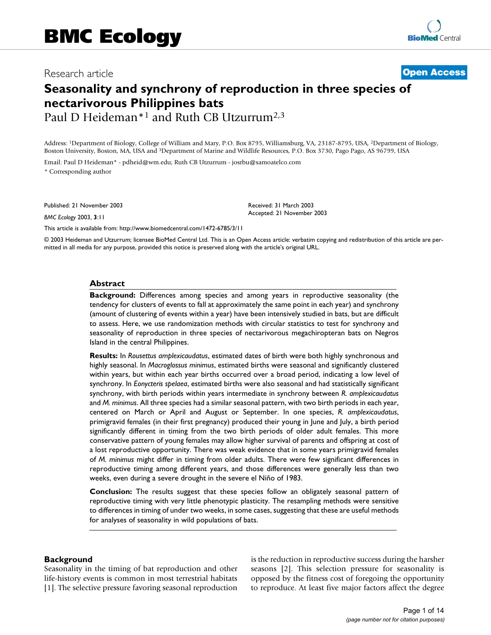## Research article **[Open Access](http://www.biomedcentral.com/info/about/charter/)**

# **Seasonality and synchrony of reproduction in three species of nectarivorous Philippines bats** Paul D Heideman\*1 and Ruth CB Utzurrum2,3

Address: 1Department of Biology, College of William and Mary, P.O. Box 8795, Williamsburg, VA, 23187-8795, USA, 2Department of Biology, Boston University, Boston, MA, USA and 3Department of Marine and Wildlife Resources, P.O. Box 3730, Pago Pago, AS 96799, USA

Email: Paul D Heideman\* - pdheid@wm.edu; Ruth CB Utzurrum - josrbu@samoatelco.com \* Corresponding author

Published: 21 November 2003

*BMC Ecology* 2003, **3**:11

[This article is available from: http://www.biomedcentral.com/1472-6785/3/11](http://www.biomedcentral.com/1472-6785/3/11)

© 2003 Heideman and Utzurrum; licensee BioMed Central Ltd. This is an Open Access article: verbatim copying and redistribution of this article are permitted in all media for any purpose, provided this notice is preserved along with the article's original URL.

Received: 31 March 2003 Accepted: 21 November 2003

#### **Abstract**

**Background:** Differences among species and among years in reproductive seasonality (the tendency for clusters of events to fall at approximately the same point in each year) and synchrony (amount of clustering of events within a year) have been intensively studied in bats, but are difficult to assess. Here, we use randomization methods with circular statistics to test for synchrony and seasonality of reproduction in three species of nectarivorous megachiropteran bats on Negros Island in the central Philippines.

**Results:** In *Rousettus amplexicaudatus*, estimated dates of birth were both highly synchronous and highly seasonal. In *Macroglossus minimus*, estimated births were seasonal and significantly clustered within years, but within each year births occurred over a broad period, indicating a low level of synchrony. In *Eonycteris spelaea*, estimated births were also seasonal and had statistically significant synchrony, with birth periods within years intermediate in synchrony between *R. amplexicaudatus* and *M. minimus*. All three species had a similar seasonal pattern, with two birth periods in each year, centered on March or April and August or September. In one species, *R. amplexicaudatus*, primigravid females (in their first pregnancy) produced their young in June and July, a birth period significantly different in timing from the two birth periods of older adult females. This more conservative pattern of young females may allow higher survival of parents and offspring at cost of a lost reproductive opportunity. There was weak evidence that in some years primigravid females of *M. minimus* might differ in timing from older adults. There were few significant differences in reproductive timing among different years, and those differences were generally less than two weeks, even during a severe drought in the severe el Niño of 1983.

**Conclusion:** The results suggest that these species follow an obligately seasonal pattern of reproductive timing with very little phenotypic plasticity. The resampling methods were sensitive to differences in timing of under two weeks, in some cases, suggesting that these are useful methods for analyses of seasonality in wild populations of bats.

#### **Background**

Seasonality in the timing of bat reproduction and other life-history events is common in most terrestrial habitats [1]. The selective pressure favoring seasonal reproduction is the reduction in reproductive success during the harsher seasons [2]. This selection pressure for seasonality is opposed by the fitness cost of foregoing the opportunity to reproduce. At least five major factors affect the degree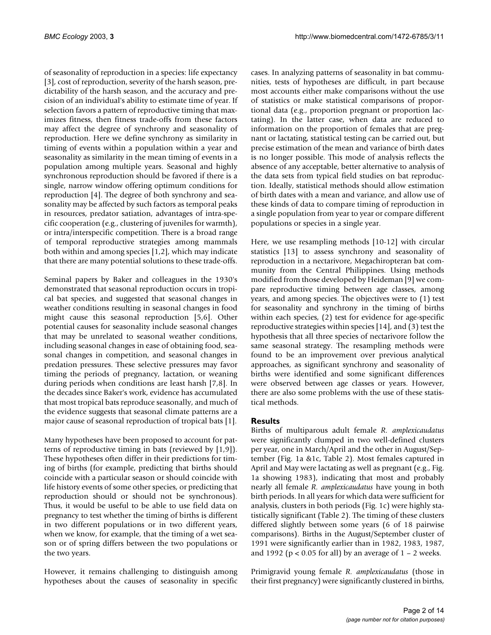of seasonality of reproduction in a species: life expectancy [3], cost of reproduction, severity of the harsh season, predictability of the harsh season, and the accuracy and precision of an individual's ability to estimate time of year. If selection favors a pattern of reproductive timing that maximizes fitness, then fitness trade-offs from these factors may affect the degree of synchrony and seasonality of reproduction. Here we define synchrony as similarity in timing of events within a population within a year and seasonality as similarity in the mean timing of events in a population among multiple years. Seasonal and highly synchronous reproduction should be favored if there is a single, narrow window offering optimum conditions for reproduction [4]. The degree of both synchrony and seasonality may be affected by such factors as temporal peaks in resources, predator satiation, advantages of intra-specific cooperation (e.g., clustering of juveniles for warmth), or intra/interspecific competition. There is a broad range of temporal reproductive strategies among mammals both within and among species [1,2], which may indicate that there are many potential solutions to these trade-offs.

Seminal papers by Baker and colleagues in the 1930's demonstrated that seasonal reproduction occurs in tropical bat species, and suggested that seasonal changes in weather conditions resulting in seasonal changes in food might cause this seasonal reproduction [5,6]. Other potential causes for seasonality include seasonal changes that may be unrelated to seasonal weather conditions, including seasonal changes in ease of obtaining food, seasonal changes in competition, and seasonal changes in predation pressures. These selective pressures may favor timing the periods of pregnancy, lactation, or weaning during periods when conditions are least harsh [7,8]. In the decades since Baker's work, evidence has accumulated that most tropical bats reproduce seasonally, and much of the evidence suggests that seasonal climate patterns are a major cause of seasonal reproduction of tropical bats [1].

Many hypotheses have been proposed to account for patterns of reproductive timing in bats (reviewed by [1,9]). These hypotheses often differ in their predictions for timing of births (for example, predicting that births should coincide with a particular season or should coincide with life history events of some other species, or predicting that reproduction should or should not be synchronous). Thus, it would be useful to be able to use field data on pregnancy to test whether the timing of births is different in two different populations or in two different years, when we know, for example, that the timing of a wet season or of spring differs between the two populations or the two years.

However, it remains challenging to distinguish among hypotheses about the causes of seasonality in specific cases. In analyzing patterns of seasonality in bat communities, tests of hypotheses are difficult, in part because most accounts either make comparisons without the use of statistics or make statistical comparisons of proportional data (e.g., proportion pregnant or proportion lactating). In the latter case, when data are reduced to information on the proportion of females that are pregnant or lactating, statistical testing can be carried out, but precise estimation of the mean and variance of birth dates is no longer possible. This mode of analysis reflects the absence of any acceptable, better alternative to analysis of the data sets from typical field studies on bat reproduction. Ideally, statistical methods should allow estimation of birth dates with a mean and variance, and allow use of these kinds of data to compare timing of reproduction in a single population from year to year or compare different populations or species in a single year.

Here, we use resampling methods [10-12] with circular statistics [13] to assess synchrony and seasonality of reproduction in a nectarivore, Megachiropteran bat community from the Central Philippines. Using methods modified from those developed by Heideman [9] we compare reproductive timing between age classes, among years, and among species. The objectives were to (1) test for seasonality and synchrony in the timing of births within each species, (2) test for evidence for age-specific reproductive strategies within species [14], and (3) test the hypothesis that all three species of nectarivore follow the same seasonal strategy. The resampling methods were found to be an improvement over previous analytical approaches, as significant synchrony and seasonality of births were identified and some significant differences were observed between age classes or years. However, there are also some problems with the use of these statistical methods.

## **Results**

Births of multiparous adult female *R. amplexicaudatus* were significantly clumped in two well-defined clusters per year, one in March/April and the other in August/September (Fig. [1a](#page-2-0) &[1](#page-2-0)c, Table [2\)](#page-3-0). Most females captured in April and May were lactating as well as pregnant (e.g., Fig. [1](#page-2-0)a showing 1983), indicating that most and probably nearly all female *R. amplexicaudatus* have young in both birth periods. In all years for which data were sufficient for analysis, clusters in both periods (Fig. [1](#page-2-0)c) were highly statistically significant (Table [2\)](#page-3-0). The timing of these clusters differed slightly between some years (6 of 18 pairwise comparisons). Births in the August/September cluster of 1991 were significantly earlier than in 1982, 1983, 1987, and 1992 ( $p < 0.05$  for all) by an average of  $1 - 2$  weeks.

Primigravid young female *R. amplexicaudatus* (those in their first pregnancy) were significantly clustered in births,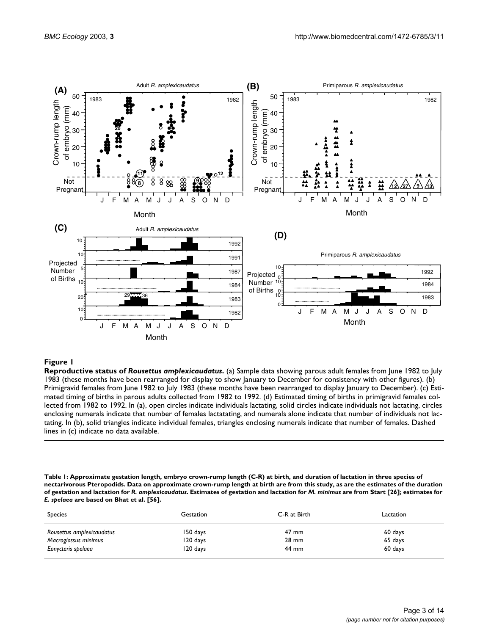<span id="page-2-0"></span>

**Reproductive status of** *Rousettus amplexicaudatus***.** (a) Sample data showing parous adult females from June 1982 to July 1983 (these months have been rearranged for display to show January to December for consistency with other figures). (b) Primigravid females from June 1982 to July 1983 (these months have been rearranged to display January to December). (c) Estimated timing of births in parous adults collected from 1982 to 1992. (d) Estimated timing of births in primigravid females collected from 1982 to 1992. In (a), open circles indicate individuals lactating, solid circles indicate individuals not lactating, circles enclosing numerals indicate that number of females lactatating, and numerals alone indicate that number of individuals not lactating. In (b), solid triangles indicate individual females, triangles enclosing numerals indicate that number of females. Dashed lines in (c) indicate no data available.

<span id="page-2-1"></span>**Table 1: Approximate gestation length, embryo crown-rump length (C-R) at birth, and duration of lactation in three species of nectarivorous Pteropodids. Data on approximate crown-rump length at birth are from this study, as are the estimates of the duration of gestation and lactation for** *R. amplexicaudatus***. Estimates of gestation and lactation for** *M. minimus* **are from Start [26]; estimates for**  *E. spelaea* **are based on Bhat et al. [56].**

| <b>Species</b>            | Gestation | C-R at Birth    | Lactation |
|---------------------------|-----------|-----------------|-----------|
| Rousettus amplexicaudatus | 150 days  | $47 \text{ mm}$ | 60 days   |
| Macroglossus minimus      | 120 days  | $28 \text{ mm}$ | 65 days   |
| Eonycteris spelaea        | 120 days  | $44 \text{ mm}$ | 60 days   |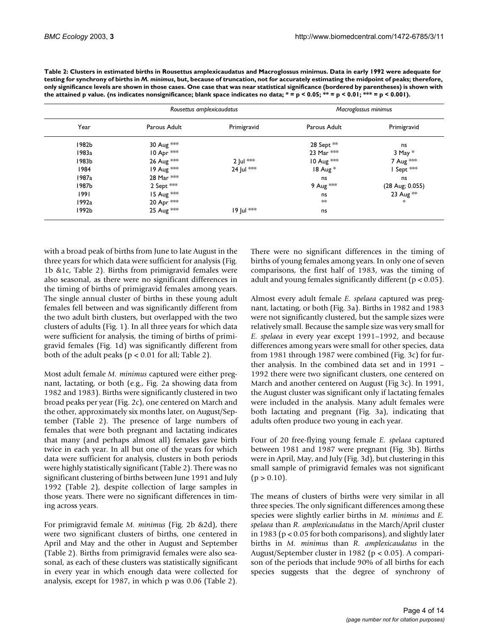| Year  | Rousettus amplexicaudatus |                       | Macroglossus minimus |                 |
|-------|---------------------------|-----------------------|----------------------|-----------------|
|       | Parous Adult              | Primigravid           | Parous Adult         | Primigravid     |
| 1982b | 30 Aug $**$               |                       | 28 Sept **           | ns              |
| 1983a | 10 Apr <sup>∗⇔⊳</sup>     |                       | 23 Mar ***           | 3 May $*$       |
| 1983b | 26 Aug ***                | 2 Jul ***             | 10 Aug $**$          | 7 Aug $**$      |
| 1984  | 19 Aug $***$              | 24 Jul ***            | 18 Aug $*$           | Sept ***        |
| 1987a | 28 Mar ***                |                       | ns                   | ns              |
| 1987b | 2 Sept ***                |                       | 9 Aug ***            | (28 Aug; 0.055) |
| 1991  | 15 Aug ***                |                       | ns                   | 23 Aug $**$     |
| 1992a | 20 Apr ***                |                       | $*$                  | $*$             |
| 1992b | 25 Aug ***                | 19 Jul <sup>***</sup> | ns                   |                 |

<span id="page-3-0"></span>**Table 2: Clusters in estimated births in Rousettus amplexicaudatus and Macroglossus minimus. Data in early 1992 were adequate for testing for synchrony of births in** *M. minimus***, but, because of truncation, not for accurately estimating the midpoint of peaks; therefore, only significance levels are shown in those cases. One case that was near statistical significance (bordered by parentheses) is shown with the attained p value. (ns indicates nonsignificance; blank space indicates no data; \* = p < 0.05; \*\* = p < 0.01; \*\*\* = p < 0.001).**

with a broad peak of births from June to late August in the three years for which data were sufficient for analysis (Fig. [1b](#page-2-0) &[1](#page-2-0)c, Table [2](#page-3-0)). Births from primigravid females were also seasonal, as there were no significant differences in the timing of births of primigravid females among years. The single annual cluster of births in these young adult females fell between and was significantly different from the two adult birth clusters, but overlapped with the two clusters of adults (Fig. [1\)](#page-2-0). In all three years for which data were sufficient for analysis, the timing of births of primigravid females (Fig. [1](#page-2-0)d) was significantly different from both of the adult peaks ( $p < 0.01$  for all; Table [2](#page-3-0)).

Most adult female *M. minimus* captured were either pregnant, lactating, or both (e.g., Fig. [2](#page-4-0)a showing data from 1982 and 1983). Births were significantly clustered in two broad peaks per year (Fig. [2](#page-4-0)c), one centered on March and the other, approximately six months later, on August/September (Table [2\)](#page-3-0). The presence of large numbers of females that were both pregnant and lactating indicates that many (and perhaps almost all) females gave birth twice in each year. In all but one of the years for which data were sufficient for analysis, clusters in both periods were highly statistically significant (Table [2](#page-3-0)). There was no significant clustering of births between June 1991 and July 1992 (Table [2](#page-3-0)), despite collection of large samples in those years. There were no significant differences in timing across years.

For primigravid female *M. minimus* (Fig. [2b](#page-4-0) &[2](#page-4-0)d), there were two significant clusters of births, one centered in April and May and the other in August and September (Table [2](#page-3-0)). Births from primigravid females were also seasonal, as each of these clusters was statistically significant in every year in which enough data were collected for analysis, except for 1987, in which p was 0.06 (Table [2\)](#page-3-0).

There were no significant differences in the timing of births of young females among years. In only one of seven comparisons, the first half of 1983, was the timing of adult and young females significantly different (p < 0.05).

Almost every adult female *E. spelaea* captured was pregnant, lactating, or both (Fig. [3](#page-5-0)a). Births in 1982 and 1983 were not significantly clustered, but the sample sizes were relatively small. Because the sample size was very small for *E. spelaea* in every year except 1991–1992, and because differences among years were small for other species, data from 1981 through 1987 were combined (Fig. [3](#page-5-0)c) for further analysis. In the combined data set and in 1991 – 1992 there were two significant clusters, one centered on March and another centered on August (Fig [3c](#page-5-0)). In 1991, the August cluster was significant only if lactating females were included in the analysis. Many adult females were both lactating and pregnant (Fig. [3](#page-5-0)a), indicating that adults often produce two young in each year.

Four of 20 free-flying young female *E. spelaea* captured between 1981 and 1987 were pregnant (Fig. [3b](#page-5-0)). Births were in April, May, and July (Fig. [3](#page-5-0)d), but clustering in this small sample of primigravid females was not significant  $(p > 0.10)$ .

The means of clusters of births were very similar in all three species. The only significant differences among these species were slightly earlier births in *M. minimus* and *E. spelaea* than *R. amplexicaudatus* in the March/April cluster in 1983 (p < 0.05 for both comparisons), and slightly later births in *M. minimus* than *R. amplexicaudatus* in the August/September cluster in 1982 (p < 0.05). A comparison of the periods that include 90% of all births for each species suggests that the degree of synchrony of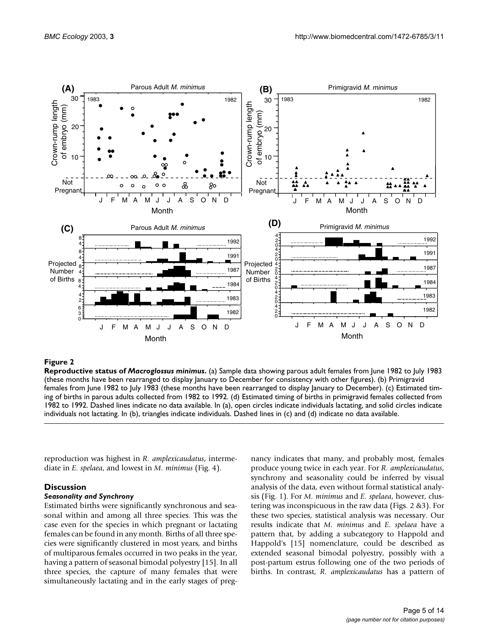<span id="page-4-0"></span>

**Reproductive status of** *Macroglossus minimus***.** (a) Sample data showing parous adult females from June 1982 to July 1983 (these months have been rearranged to display January to December for consistency with other figures). (b) Primigravid females from June 1982 to July 1983 (these months have been rearranged to display January to December). (c) Estimated timing of births in parous adults collected from 1982 to 1992. (d) Estimated timing of births in primigravid females collected from 1982 to 1992. Dashed lines indicate no data available. In (a), open circles indicate individuals lactating, and solid circles indicate individuals not lactating. In (b), triangles indicate individuals. Dashed lines in (c) and (d) indicate no data available.

reproduction was highest in *R. amplexicaudatus*, intermediate in *E. spelaea*, and lowest in *M. minimus* (Fig. 4).

## **Discussion**

#### *Seasonality and Synchrony*

Estimated births were significantly synchronous and seasonal within and among all three species. This was the case even for the species in which pregnant or lactating females can be found in any month. Births of all three species were significantly clustered in most years, and births of multiparous females occurred in two peaks in the year, having a pattern of seasonal bimodal polyestry [15]. In all three species, the capture of many females that were simultaneously lactating and in the early stages of pregnancy indicates that many, and probably most, females produce young twice in each year. For *R. amplexicaudatus*, synchrony and seasonality could be inferred by visual analysis of the data, even without formal statistical analysis (Fig. [1](#page-2-0)). For *M. minimus* and *E. spelaea*, however, clustering was inconspicuous in the raw data (Figs. [2](#page-4-0) &[3](#page-5-0)). For these two species, statistical analysis was necessary. Our results indicate that *M. minimus* and *E. spelaea* have a pattern that, by adding a subcategory to Happold and Happold's [15] nomenclature, could be described as extended seasonal bimodal polyestry, possibly with a post-partum estrus following one of the two periods of births. In contrast, *R. amplexicaudatus* has a pattern of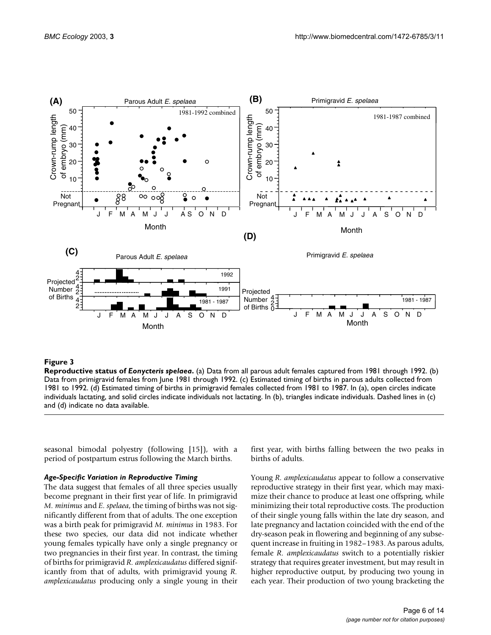<span id="page-5-0"></span>

**Reproductive status of** *Eonycteris spelaea***.** (a) Data from all parous adult females captured from 1981 through 1992. (b) Data from primigravid females from June 1981 through 1992. (c) Estimated timing of births in parous adults collected from 1981 to 1992. (d) Estimated timing of births in primigravid females collected from 1981 to 1987. In (a), open circles indicate individuals lactating, and solid circles indicate individuals not lactating. In (b), triangles indicate individuals. Dashed lines in (c) and (d) indicate no data available.

seasonal bimodal polyestry (following [15]), with a period of postpartum estrus following the March births.

#### *Age-Specific Variation in Reproductive Timing*

The data suggest that females of all three species usually become pregnant in their first year of life. In primigravid *M. minimus* and *E. spelaea*, the timing of births was not significantly different from that of adults. The one exception was a birth peak for primigravid *M. minimus* in 1983. For these two species, our data did not indicate whether young females typically have only a single pregnancy or two pregnancies in their first year. In contrast, the timing of births for primigravid *R. amplexicaudatus* differed significantly from that of adults, with primigravid young *R. amplexicaudatus* producing only a single young in their first year, with births falling between the two peaks in births of adults.

Young *R. amplexicaudatus* appear to follow a conservative reproductive strategy in their first year, which may maximize their chance to produce at least one offspring, while minimizing their total reproductive costs. The production of their single young falls within the late dry season, and late pregnancy and lactation coincided with the end of the dry-season peak in flowering and beginning of any subsequent increase in fruiting in 1982–1983. As parous adults, female *R. amplexicaudatus* switch to a potentially riskier strategy that requires greater investment, but may result in higher reproductive output, by producing two young in each year. Their production of two young bracketing the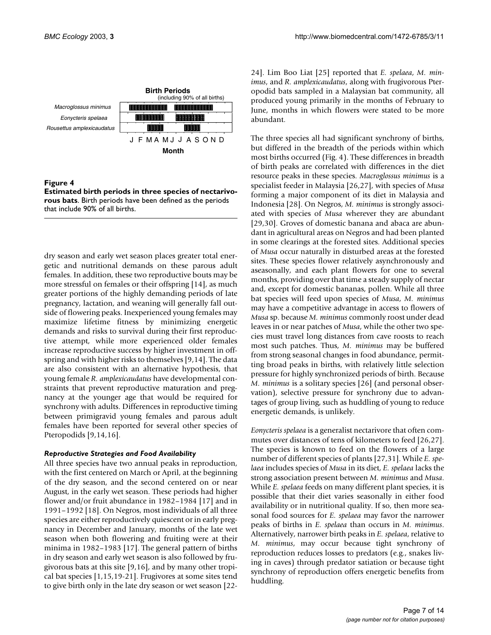|                           | <b>Birth Periods</b><br>(including 90% of all births) |  |  |
|---------------------------|-------------------------------------------------------|--|--|
| Macroglossus minimus      |                                                       |  |  |
| Eonycteris spelaea        |                                                       |  |  |
| Rousettus amplexicaudatus |                                                       |  |  |
|                           | J F M A M J J A S O N D                               |  |  |
|                           | <b>Month</b>                                          |  |  |

**Estimated birth periods in three species of nectarivorous bats**. Birth periods have been defined as the periods that include 90% of all births.

dry season and early wet season places greater total energetic and nutritional demands on these parous adult females. In addition, these two reproductive bouts may be more stressful on females or their offspring [14], as much greater portions of the highly demanding periods of late pregnancy, lactation, and weaning will generally fall outside of flowering peaks. Inexperienced young females may maximize lifetime fitness by minimizing energetic demands and risks to survival during their first reproductive attempt, while more experienced older females increase reproductive success by higher investment in offspring and with higher risks to themselves [9,14]. The data are also consistent with an alternative hypothesis, that young female *R. amplexicaudatus* have developmental constraints that prevent reproductive maturation and pregnancy at the younger age that would be required for synchrony with adults. Differences in reproductive timing between primigravid young females and parous adult females have been reported for several other species of Pteropodids [9,14,16].

#### *Reproductive Strategies and Food Availability*

All three species have two annual peaks in reproduction, with the first centered on March or April, at the beginning of the dry season, and the second centered on or near August, in the early wet season. These periods had higher flower and/or fruit abundance in 1982–1984 [17] and in 1991–1992 [18]. On Negros, most individuals of all three species are either reproductively quiescent or in early pregnancy in December and January, months of the late wet season when both flowering and fruiting were at their minima in 1982–1983 [17]. The general pattern of births in dry season and early wet season is also followed by frugivorous bats at this site [9,16], and by many other tropical bat species [1,15,19-21]. Frugivores at some sites tend to give birth only in the late dry season or wet season [2224]. Lim Boo Liat [25] reported that *E. spelaea*, *M. minimus*, and *R. amplexicaudatus*, along with frugivorous Pteropodid bats sampled in a Malaysian bat community, all produced young primarily in the months of February to June, months in which flowers were stated to be more abundant.

The three species all had significant synchrony of births, but differed in the breadth of the periods within which most births occurred (Fig. 4). These differences in breadth of birth peaks are correlated with differences in the diet resource peaks in these species. *Macroglossus minimus* is a specialist feeder in Malaysia [26,27], with species of *Musa* forming a major component of its diet in Malaysia and Indonesia [28]. On Negros, *M. minimus* is strongly associated with species of *Musa* wherever they are abundant [29,30]. Groves of domestic banana and abaca are abundant in agricultural areas on Negros and had been planted in some clearings at the forested sites. Additional species of *Musa* occur naturally in disturbed areas at the forested sites. These species flower relatively asynchronously and aseasonally, and each plant flowers for one to several months, providing over that time a steady supply of nectar and, except for domestic bananas, pollen. While all three bat species will feed upon species of *Musa*, *M. minimus* may have a competitive advantage in access to flowers of *Musa* sp. because *M. minimus* commonly roost under dead leaves in or near patches of *Musa*, while the other two species must travel long distances from cave roosts to reach most such patches. Thus, *M. minimus* may be buffered from strong seasonal changes in food abundance, permitting broad peaks in births, with relatively little selection pressure for highly synchronized periods of birth. Because *M. minimus* is a solitary species [26] (and personal observation), selective pressure for synchrony due to advantages of group living, such as huddling of young to reduce energetic demands, is unlikely.

*Eonycteris spelaea* is a generalist nectarivore that often commutes over distances of tens of kilometers to feed [26,27]. The species is known to feed on the flowers of a large number of different species of plants [27,31]. While *E. spelaea* includes species of *Musa* in its diet, *E. spelaea* lacks the strong association present between *M. minimus* and *Musa*. While *E. spelaea* feeds on many different plant species, it is possible that their diet varies seasonally in either food availability or in nutritional quality. If so, then more seasonal food sources for *E. spelaea* may favor the narrower peaks of births in *E. spelaea* than occurs in *M. minimus*. Alternatively, narrower birth peaks in *E. spelaea*, relative to *M. minimus*, may occur because tight synchrony of reproduction reduces losses to predators (e.g., snakes living in caves) through predator satiation or because tight synchrony of reproduction offers energetic benefits from huddling.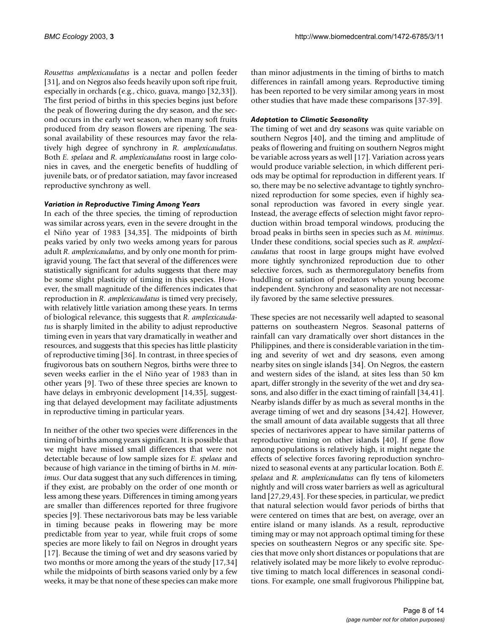*Rousettus amplexicaudatus* is a nectar and pollen feeder [31], and on Negros also feeds heavily upon soft ripe fruit, especially in orchards (e.g., chico, guava, mango [32,33]). The first period of births in this species begins just before the peak of flowering during the dry season, and the second occurs in the early wet season, when many soft fruits produced from dry season flowers are ripening. The seasonal availability of these resources may favor the relatively high degree of synchrony in *R. amplexicaudatus*. Both *E. spelaea* and *R. amplexicaudatus* roost in large colonies in caves, and the energetic benefits of huddling of juvenile bats, or of predator satiation, may favor increased reproductive synchrony as well.

#### *Variation in Reproductive Timing Among Years*

In each of the three species, the timing of reproduction was similar across years, even in the severe drought in the el Niño year of 1983 [34,35]. The midpoints of birth peaks varied by only two weeks among years for parous adult *R. amplexicaudatus*, and by only one month for primigravid young. The fact that several of the differences were statistically significant for adults suggests that there may be some slight plasticity of timing in this species. However, the small magnitude of the differences indicates that reproduction in *R. amplexicaudatus* is timed very precisely, with relatively little variation among these years. In terms of biological relevance, this suggests that *R. amplexicaudatus* is sharply limited in the ability to adjust reproductive timing even in years that vary dramatically in weather and resources, and suggests that this species has little plasticity of reproductive timing [36]. In contrast, in three species of frugivorous bats on southern Negros, births were three to seven weeks earlier in the el Niño year of 1983 than in other years [9]. Two of these three species are known to have delays in embryonic development [14,35], suggesting that delayed development may facilitate adjustments in reproductive timing in particular years.

In neither of the other two species were differences in the timing of births among years significant. It is possible that we might have missed small differences that were not detectable because of low sample sizes for *E. spelaea* and because of high variance in the timing of births in *M. minimus*. Our data suggest that any such differences in timing, if they exist, are probably on the order of one month or less among these years. Differences in timing among years are smaller than differences reported for three frugivore species [9]. These nectarivorous bats may be less variable in timing because peaks in flowering may be more predictable from year to year, while fruit crops of some species are more likely to fail on Negros in drought years [17]. Because the timing of wet and dry seasons varied by two months or more among the years of the study [17,34] while the midpoints of birth seasons varied only by a few weeks, it may be that none of these species can make more

than minor adjustments in the timing of births to match differences in rainfall among years. Reproductive timing has been reported to be very similar among years in most other studies that have made these comparisons [37-39].

### *Adaptation to Climatic Seasonality*

The timing of wet and dry seasons was quite variable on southern Negros [40], and the timing and amplitude of peaks of flowering and fruiting on southern Negros might be variable across years as well [17]. Variation across years would produce variable selection, in which different periods may be optimal for reproduction in different years. If so, there may be no selective advantage to tightly synchronized reproduction for some species, even if highly seasonal reproduction was favored in every single year. Instead, the average effects of selection might favor reproduction within broad temporal windows, producing the broad peaks in births seen in species such as *M. minimus*. Under these conditions, social species such as *R. amplexicaudatus* that roost in large groups might have evolved more tightly synchronized reproduction due to other selective forces, such as thermoregulatory benefits from huddling or satiation of predators when young become independent. Synchrony and seasonality are not necessarily favored by the same selective pressures.

These species are not necessarily well adapted to seasonal patterns on southeastern Negros. Seasonal patterns of rainfall can vary dramatically over short distances in the Philippines, and there is considerable variation in the timing and severity of wet and dry seasons, even among nearby sites on single islands [34]. On Negros, the eastern and western sides of the island, at sites less than 50 km apart, differ strongly in the severity of the wet and dry seasons, and also differ in the exact timing of rainfall [34,41]. Nearby islands differ by as much as several months in the average timing of wet and dry seasons [34,42]. However, the small amount of data available suggests that all three species of nectarivores appear to have similar patterns of reproductive timing on other islands [40]. If gene flow among populations is relatively high, it might negate the effects of selective forces favoring reproduction synchronized to seasonal events at any particular location. Both *E. spelaea* and *R. amplexicaudatus* can fly tens of kilometers nightly and will cross water barriers as well as agricultural land [27,29,43]. For these species, in particular, we predict that natural selection would favor periods of births that were centered on times that are best, on average, over an entire island or many islands. As a result, reproductive timing may or may not approach optimal timing for these species on southeastern Negros or any specific site. Species that move only short distances or populations that are relatively isolated may be more likely to evolve reproductive timing to match local differences in seasonal conditions. For example, one small frugivorous Philippine bat,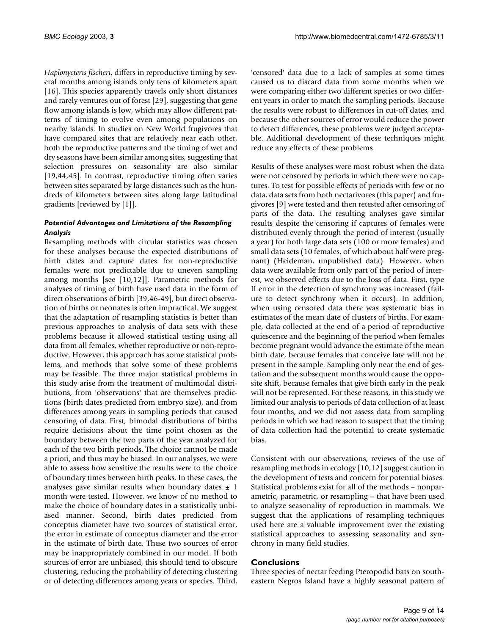*Haplonycteris fischeri*, differs in reproductive timing by several months among islands only tens of kilometers apart [16]. This species apparently travels only short distances and rarely ventures out of forest [29], suggesting that gene flow among islands is low, which may allow different patterns of timing to evolve even among populations on nearby islands. In studies on New World frugivores that have compared sites that are relatively near each other, both the reproductive patterns and the timing of wet and dry seasons have been similar among sites, suggesting that selection pressures on seasonality are also similar [19,44,45]. In contrast, reproductive timing often varies between sites separated by large distances such as the hundreds of kilometers between sites along large latitudinal gradients [reviewed by [1]].

## *Potential Advantages and Limitations of the Resampling Analysis*

Resampling methods with circular statistics was chosen for these analyses because the expected distributions of birth dates and capture dates for non-reproductive females were not predictable due to uneven sampling among months [see [10,12]]. Parametric methods for analyses of timing of birth have used data in the form of direct observations of birth [39,46-49], but direct observation of births or neonates is often impractical. We suggest that the adaptation of resampling statistics is better than previous approaches to analysis of data sets with these problems because it allowed statistical testing using all data from all females, whether reproductive or non-reproductive. However, this approach has some statistical problems, and methods that solve some of these problems may be feasible. The three major statistical problems in this study arise from the treatment of multimodal distributions, from 'observations' that are themselves predictions (birth dates predicted from embryo size), and from differences among years in sampling periods that caused censoring of data. First, bimodal distributions of births require decisions about the time point chosen as the boundary between the two parts of the year analyzed for each of the two birth periods. The choice cannot be made a priori, and thus may be biased. In our analyses, we were able to assess how sensitive the results were to the choice of boundary times between birth peaks. In these cases, the analyses gave similar results when boundary dates  $\pm$  1 month were tested. However, we know of no method to make the choice of boundary dates in a statistically unbiased manner. Second, birth dates predicted from conceptus diameter have two sources of statistical error, the error in estimate of conceptus diameter and the error in the estimate of birth date. These two sources of error may be inappropriately combined in our model. If both sources of error are unbiased, this should tend to obscure clustering, reducing the probability of detecting clustering or of detecting differences among years or species. Third,

'censored' data due to a lack of samples at some times caused us to discard data from some months when we were comparing either two different species or two different years in order to match the sampling periods. Because the results were robust to differences in cut-off dates, and because the other sources of error would reduce the power to detect differences, these problems were judged acceptable. Additional development of these techniques might reduce any effects of these problems.

Results of these analyses were most robust when the data were not censored by periods in which there were no captures. To test for possible effects of periods with few or no data, data sets from both nectarivores (this paper) and frugivores [9] were tested and then retested after censoring of parts of the data. The resulting analyses gave similar results despite the censoring if captures of females were distributed evenly through the period of interest (usually a year) for both large data sets (100 or more females) and small data sets (10 females, of which about half were pregnant) (Heideman, unpublished data). However, when data were available from only part of the period of interest, we observed effects due to the loss of data. First, type II error in the detection of synchrony was increased (failure to detect synchrony when it occurs). In addition, when using censored data there was systematic bias in estimates of the mean date of clusters of births. For example, data collected at the end of a period of reproductive quiescence and the beginning of the period when females become pregnant would advance the estimate of the mean birth date, because females that conceive late will not be present in the sample. Sampling only near the end of gestation and the subsequent months would cause the opposite shift, because females that give birth early in the peak will not be represented. For these reasons, in this study we limited our analysis to periods of data collection of at least four months, and we did not assess data from sampling periods in which we had reason to suspect that the timing of data collection had the potential to create systematic bias.

Consistent with our observations, reviews of the use of resampling methods in ecology [10,12] suggest caution in the development of tests and concern for potential biases. Statistical problems exist for all of the methods – nonparametric, parametric, or resampling – that have been used to analyze seasonality of reproduction in mammals. We suggest that the applications of resampling techniques used here are a valuable improvement over the existing statistical approaches to assessing seasonality and synchrony in many field studies.

## **Conclusions**

Three species of nectar feeding Pteropodid bats on southeastern Negros Island have a highly seasonal pattern of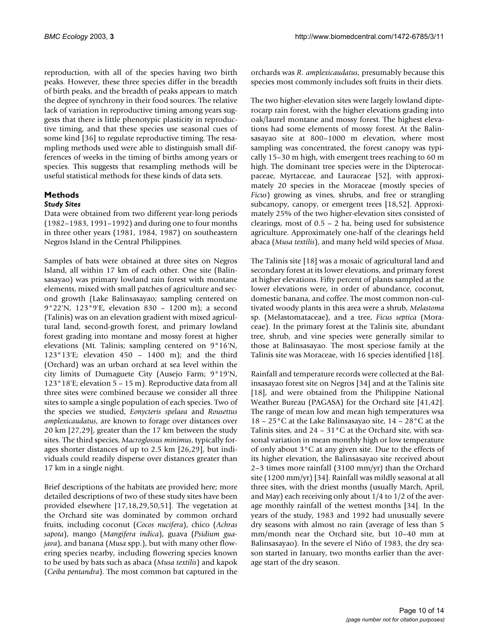reproduction, with all of the species having two birth peaks. However, these three species differ in the breadth of birth peaks, and the breadth of peaks appears to match the degree of synchrony in their food sources. The relative lack of variation in reproductive timing among years suggests that there is little phenotypic plasticity in reproductive timing, and that these species use seasonal cues of some kind [36] to regulate reproductive timing. The resampling methods used were able to distinguish small differences of weeks in the timing of births among years or species. This suggests that resampling methods will be useful statistical methods for these kinds of data sets.

## **Methods**

### *Study Sites*

Data were obtained from two different year-long periods (1982–1983, 1991–1992) and during one to four months in three other years (1981, 1984, 1987) on southeastern Negros Island in the Central Philippines.

Samples of bats were obtained at three sites on Negros Island, all within 17 km of each other. One site (Balinsasayao) was primary lowland rain forest with montane elements, mixed with small patches of agriculture and second growth (Lake Balinsasayao; sampling centered on 9°22'N, 123°9'E, elevation 830 – 1200 m); a second (Talinis) was on an elevation gradient with mixed agricultural land, second-growth forest, and primary lowland forest grading into montane and mossy forest at higher elevations (Mt. Talinis; sampling centered on 9°16'N, 123°13'E; elevation 450 – 1400 m); and the third (Orchard) was an urban orchard at sea level within the city limits of Dumaguete City (Ausejo Farm; 9°19'N, 123°18'E; elevation 5 – 15 m). Reproductive data from all three sites were combined because we consider all three sites to sample a single population of each species. Two of the species we studied, *Eonycteris spelaea* and *Rousettus amplexicaudatus*, are known to forage over distances over 20 km [27,29], greater than the 17 km between the study sites. The third species, *Macroglossus minimus*, typically forages shorter distances of up to 2.5 km [26,29], but individuals could readily disperse over distances greater than 17 km in a single night.

Brief descriptions of the habitats are provided here; more detailed descriptions of two of these study sites have been provided elsewhere [17,18,29,50,51]. The vegetation at the Orchard site was dominated by common orchard fruits, including coconut (*Cocos nucifera*), chico (*Achras sapota*), mango (*Mangifera indica*), guava (*Psidium guajava*), and banana (*Musa* spp.), but with many other flowering species nearby, including flowering species known to be used by bats such as abaca (*Musa textilis*) and kapok (*Ceiba pentandra*). The most common bat captured in the orchards was *R. amplexicaudatus*, presumably because this species most commonly includes soft fruits in their diets.

The two higher-elevation sites were largely lowland dipterocarp rain forest, with the higher elevations grading into oak/laurel montane and mossy forest. The highest elevations had some elements of mossy forest. At the Balinsasayao site at 800–1000 m elevation, where most sampling was concentrated, the forest canopy was typically 15–30 m high, with emergent trees reaching to 60 m high. The dominant tree species were in the Dipterocarpaceae, Myrtaceae, and Lauraceae [52], with approximately 20 species in the Moraceae (mostly species of *Ficus*) growing as vines, shrubs, and free or strangling subcanopy, canopy, or emergent trees [18,52]. Approximately 25% of the two higher-elevation sites consisted of clearings, most of 0.5 – 2 ha, being used for subsistence agriculture. Approximately one-half of the clearings held abaca (*Musa textilis*), and many held wild species of *Musa*.

The Talinis site [18] was a mosaic of agricultural land and secondary forest at its lower elevations, and primary forest at higher elevations. Fifty percent of plants sampled at the lower elevations were, in order of abundance, coconut, domestic banana, and coffee. The most common non-cultivated woody plants in this area were a shrub, *Melastoma* sp. (Melastomataceae), and a tree, *Ficus septica* (Moraceae). In the primary forest at the Talinis site, abundant tree, shrub, and vine species were generally similar to those at Balinsasayao. The most speciose family at the Talinis site was Moraceae, with 16 species identified [18].

Rainfall and temperature records were collected at the Balinsasayao forest site on Negros [34] and at the Talinis site [18], and were obtained from the Philippine National Weather Bureau (PAGASA) for the Orchard site [41,42]. The range of mean low and mean high temperatures wsa 18 – 25 °C at the Lake Balinsasayao site,  $14 - 28$  °C at the Talinis sites, and  $24 - 31$ °C at the Orchard site, with seasonal variation in mean monthly high or low temperature of only about 3°C at any given site. Due to the effects of its higher elevation, the Balinsasayao site received about 2–3 times more rainfall (3100 mm/yr) than the Orchard site (1200 mm/yr) [34]. Rainfall was mildly seasonal at all three sites, with the driest months (usually March, April, and May) each receiving only about 1/4 to 1/2 of the average monthly rainfall of the wettest months [34]. In the years of the study, 1983 and 1992 had unusually severe dry seasons with almost no rain (average of less than 5 mm/month near the Orchard site, but 10–40 mm at Balinsasayao). In the severe el Niño of 1983, the dry season started in January, two months earlier than the average start of the dry season.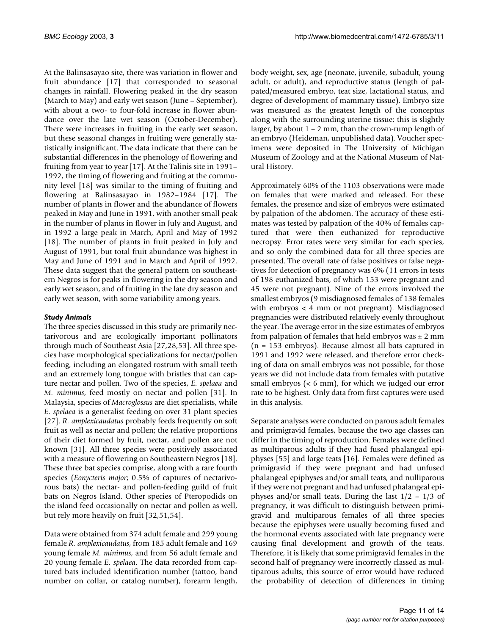At the Balinsasayao site, there was variation in flower and fruit abundance [17] that corresponded to seasonal changes in rainfall. Flowering peaked in the dry season (March to May) and early wet season (June – September), with about a two- to four-fold increase in flower abundance over the late wet season (October-December). There were increases in fruiting in the early wet season, but these seasonal changes in fruiting were generally statistically insignificant. The data indicate that there can be substantial differences in the phenology of flowering and fruiting from year to year [17]. At the Talinis site in 1991– 1992, the timing of flowering and fruiting at the community level [18] was similar to the timing of fruiting and flowering at Balinsasayao in 1982–1984 [17]. The number of plants in flower and the abundance of flowers peaked in May and June in 1991, with another small peak in the number of plants in flower in July and August, and in 1992 a large peak in March, April and May of 1992 [18]. The number of plants in fruit peaked in July and August of 1991, but total fruit abundance was highest in May and June of 1991 and in March and April of 1992. These data suggest that the general pattern on southeastern Negros is for peaks in flowering in the dry season and early wet season, and of fruiting in the late dry season and early wet season, with some variability among years.

## *Study Animals*

The three species discussed in this study are primarily nectarivorous and are ecologically important pollinators through much of Southeast Asia [27,28,53]. All three species have morphological specializations for nectar/pollen feeding, including an elongated rostrum with small teeth and an extremely long tongue with bristles that can capture nectar and pollen. Two of the species, *E. spelaea* and *M. minimus*, feed mostly on nectar and pollen [31]. In Malaysia, species of *Macroglossus* are diet specialists, while *E. spelaea* is a generalist feeding on over 31 plant species [27]. *R. amplexicaudatus* probably feeds frequently on soft fruit as well as nectar and pollen; the relative proportions of their diet formed by fruit, nectar, and pollen are not known [31]. All three species were positively associated with a measure of flowering on Southeastern Negros [18]. These three bat species comprise, along with a rare fourth species (*Eonycteris major*; 0.5% of captures of nectarivorous bats) the nectar- and pollen-feeding guild of fruit bats on Negros Island. Other species of Pteropodids on the island feed occasionally on nectar and pollen as well, but rely more heavily on fruit [32,51,54].

Data were obtained from 374 adult female and 299 young female *R. amplexicaudatus*, from 185 adult female and 169 young female *M. minimus*, and from 56 adult female and 20 young female *E. spelaea*. The data recorded from captured bats included identification number (tattoo, band number on collar, or catalog number), forearm length,

body weight, sex, age (neonate, juvenile, subadult, young adult, or adult), and reproductive status (length of palpated/measured embryo, teat size, lactational status, and degree of development of mammary tissue). Embryo size was measured as the greatest length of the conceptus along with the surrounding uterine tissue; this is slightly larger, by about 1 – 2 mm, than the crown-rump length of an embryo (Heideman, unpublished data). Voucher specimens were deposited in The University of Michigan Museum of Zoology and at the National Museum of Natural History.

Approximately 60% of the 1103 observations were made on females that were marked and released. For these females, the presence and size of embryos were estimated by palpation of the abdomen. The accuracy of these estimates was tested by palpation of the 40% of females captured that were then euthanized for reproductive necropsy. Error rates were very similar for each species, and so only the combined data for all three species are presented. The overall rate of false positives or false negatives for detection of pregnancy was 6% (11 errors in tests of 198 euthanized bats, of which 153 were pregnant and 45 were not pregnant). Nine of the errors involved the smallest embryos (9 misdiagnosed females of 138 females with embryos < 4 mm or not pregnant). Misdiagnosed pregnancies were distributed relatively evenly throughout the year. The average error in the size estimates of embryos from palpation of females that held embryos was  $\pm 2$  mm (n = 153 embryos). Because almost all bats captured in 1991 and 1992 were released, and therefore error checking of data on small embryos was not possible, for those years we did not include data from females with putative small embryos (< 6 mm), for which we judged our error rate to be highest. Only data from first captures were used in this analysis.

Separate analyses were conducted on parous adult females and primigravid females, because the two age classes can differ in the timing of reproduction. Females were defined as multiparous adults if they had fused phalangeal epiphyses [55] and large teats [16]. Females were defined as primigravid if they were pregnant and had unfused phalangeal epiphyses and/or small teats, and nulliparous if they were not pregnant and had unfused phalangeal epiphyses and/or small teats. During the last  $1/2 - 1/3$  of pregnancy, it was difficult to distinguish between primigravid and multiparous females of all three species because the epiphyses were usually becoming fused and the hormonal events associated with late pregnancy were causing final development and growth of the teats. Therefore, it is likely that some primigravid females in the second half of pregnancy were incorrectly classed as multiparous adults; this source of error would have reduced the probability of detection of differences in timing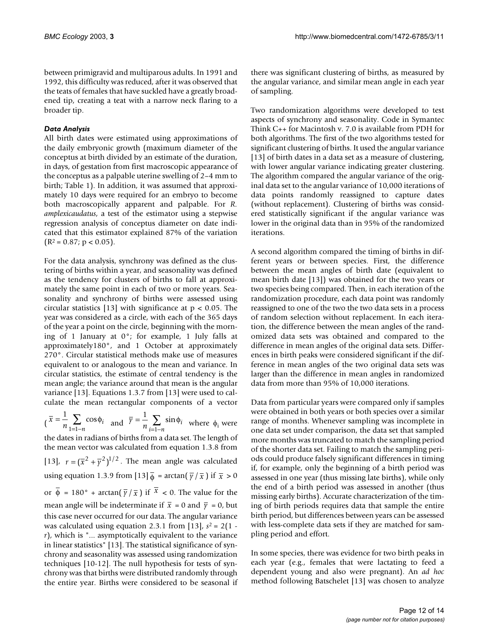between primigravid and multiparous adults. In 1991 and 1992, this difficulty was reduced, after it was observed that the teats of females that have suckled have a greatly broadened tip, creating a teat with a narrow neck flaring to a broader tip.

## *Data Analysis*

All birth dates were estimated using approximations of the daily embryonic growth (maximum diameter of the conceptus at birth divided by an estimate of the duration, in days, of gestation from first macroscopic appearance of the conceptus as a palpable uterine swelling of 2–4 mm to birth; Table [1](#page-2-1)). In addition, it was assumed that approximately 10 days were required for an embryo to become both macroscopically apparent and palpable. For *R. amplexicaudatus*, a test of the estimator using a stepwise regression analysis of conceptus diameter on date indicated that this estimator explained 87% of the variation  $(R<sup>2</sup> = 0.87; p < 0.05)$ .

For the data analysis, synchrony was defined as the clustering of births within a year, and seasonality was defined as the tendency for clusters of births to fall at approximately the same point in each of two or more years. Seasonality and synchrony of births were assessed using circular statistics [13] with significance at  $p < 0.05$ . The year was considered as a circle, with each of the 365 days of the year a point on the circle, beginning with the morning of 1 January at 0°; for example, 1 July falls at approximately180°, and 1 October at approximately 270°. Circular statistical methods make use of measures equivalent to or analogous to the mean and variance. In circular statistics, the estimate of central tendency is the mean angle; the variance around that mean is the angular variance [13]. Equations 1.3.7 from [13] were used to calculate the mean rectangular components of a vector

$$
(\bar{x} = \frac{1}{n} \sum_{i=1-n} \cos \phi_i
$$
 and  $\bar{y} = \frac{1}{n} \sum_{i=1-n} \sin \phi_i$  where  $\phi_i$  were

the dates in radians of births from a data set. The length of the mean vector was calculated from equation 1.3.8 from [13],  $r = (\bar{x}^2 + \bar{y}^2)^{1/2}$ . The mean angle was calculated using equation 1.3.9 from  $[13]\overline{\phi}$  = arctan( $\overline{\gamma}/\overline{x}$ ) if  $\overline{x} > 0$ or  $\bar{\phi}$  = 180° + arctan( $\bar{y}/\bar{x}$ ) if  $\bar{x}$  < 0. The value for the mean angle will be indeterminate if  $\bar{x} = 0$  and  $\bar{y} = 0$ , but this case never occurred for our data. The angular variance was calculated using equation 2.3.1 from [13],  $s^2 = 2(1$ *r*), which is "... asymptotically equivalent to the variance in linear statistics" [13]. The statistical significance of synchrony and seasonality was assessed using randomization techniques [10-12]. The null hypothesis for tests of synchrony was that births were distributed randomly through the entire year. Births were considered to be seasonal if there was significant clustering of births, as measured by the angular variance, and similar mean angle in each year of sampling.

Two randomization algorithms were developed to test aspects of synchrony and seasonality. Code in Symantec Think C++ for Macintosh v. 7.0 is available from PDH for both algorithms. The first of the two algorithms tested for significant clustering of births. It used the angular variance [13] of birth dates in a data set as a measure of clustering, with lower angular variance indicating greater clustering. The algorithm compared the angular variance of the original data set to the angular variance of 10,000 iterations of data points randomly reassigned to capture dates (without replacement). Clustering of births was considered statistically significant if the angular variance was lower in the original data than in 95% of the randomized iterations.

A second algorithm compared the timing of births in different years or between species. First, the difference between the mean angles of birth date (equivalent to mean birth date [13]) was obtained for the two years or two species being compared. Then, in each iteration of the randomization procedure, each data point was randomly reassigned to one of the two the two data sets in a process of random selection without replacement. In each iteration, the difference between the mean angles of the randomized data sets was obtained and compared to the difference in mean angles of the original data sets. Differences in birth peaks were considered significant if the difference in mean angles of the two original data sets was larger than the difference in mean angles in randomized data from more than 95% of 10,000 iterations.

Data from particular years were compared only if samples were obtained in both years or both species over a similar range of months. Whenever sampling was incomplete in one data set under comparison, the data set that sampled more months was truncated to match the sampling period of the shorter data set. Failing to match the sampling periods could produce falsely significant differences in timing if, for example, only the beginning of a birth period was assessed in one year (thus missing late births), while only the end of a birth period was assessed in another (thus missing early births). Accurate characterization of the timing of birth periods requires data that sample the entire birth period, but differences between years can be assessed with less-complete data sets if they are matched for sampling period and effort.

In some species, there was evidence for two birth peaks in each year (e.g., females that were lactating to feed a dependent young and also were pregnant). An *ad hoc* method following Batschelet [13] was chosen to analyze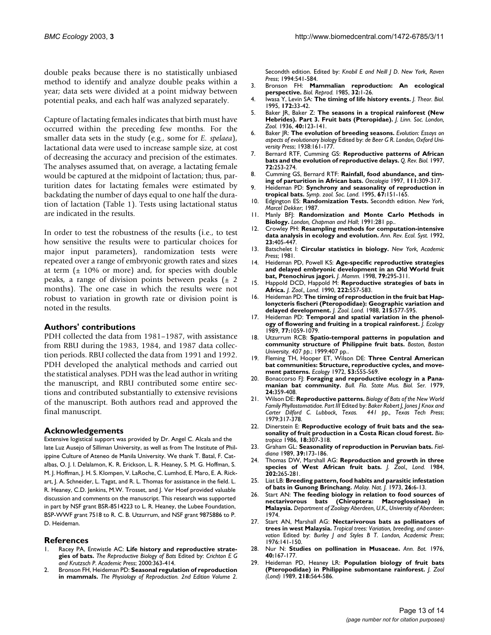double peaks because there is no statistically unbiased method to identify and analyze double peaks within a year; data sets were divided at a point midway between potential peaks, and each half was analyzed separately.

Capture of lactating females indicates that birth must have occurred within the preceding few months. For the smaller data sets in the study (e.g., some for *E. spelaea*), lactational data were used to increase sample size, at cost of decreasing the accuracy and precision of the estimates. The analyses assumed that, on average, a lactating female would be captured at the midpoint of lactation; thus, parturition dates for lactating females were estimated by backdating the number of days equal to one half the duration of lactation (Table [1](#page-2-1)). Tests using lactational status are indicated in the results.

In order to test the robustness of the results (i.e., to test how sensitive the results were to particular choices for major input parameters), randomization tests were repeated over a range of embryonic growth rates and sizes at term  $(\pm 10\%$  or more) and, for species with double peaks, a range of division points between peaks  $(\pm 2)$ months). The one case in which the results were not robust to variation in growth rate or division point is noted in the results.

#### **Authors' contributions**

PDH collected the data from 1981–1987, with assistance from RBU during the 1983, 1984, and 1987 data collection periods. RBU collected the data from 1991 and 1992. PDH developed the analytical methods and carried out the statistical analyses. PDH was the lead author in writing the manuscript, and RBU contributed some entire sections and contributed substantially to extensive revisions of the manuscript. Both authors read and approved the final manuscript.

### **Acknowledgements**

Extensive logistical support was provided by Dr. Angel C. Alcala and the late Luz Ausejo of Silliman University, as well as from The Institute of Philippine Culture of Ateneo de Manila University. We thank T. Batal, F. Catalbas, O. J. I. Delalamon, K. R. Erickson, L. R. Heaney, S. M. G. Hoffman, S. M. J. Hoffman, J. H. S. Klompen, V. LaRoche, C. Lumhod, E. Maro, E. A. Rickart, J. A. Schneider, L. Tagat, and R. L. Thomas for assistance in the field. L. R. Heaney, C.D. Jenkins, M.W. Trosset, and J. Ver Hoef provided valuable discussion and comments on the manuscript. This research was supported in part by NSF grant BSR-8514223 to L. R. Heaney, the Lubee Foundation, BSP-WWF grant 7518 to R. C. B. Utzurrum, and NSF grant 9875886 to P. D. Heideman.

#### **References**

- Racey PA, Entwistle AC: Life history and reproductive strate**gies of bats.** *The Reproductive Biology of Bats* Edited by: *Crichton E G and Krutzsch P*. *Academic Press*; 2000:363-414.
- 2. Bronson FH, Heideman PD: **Seasonal regulation of reproduction in mammals.** *The Physiology of Reproduction. 2nd Edition Volume 2*.

Secondth edition. Edited by: *Knobil E and Neill J D*. *New York, Raven Press*; 1994:541-584.

- 3. Bronson FH: **[Mammalian reproduction: An ecological](http://www.ncbi.nlm.nih.gov/entrez/query.fcgi?cmd=Retrieve&db=PubMed&dopt=Abstract&list_uids=3882162) [perspective.](http://www.ncbi.nlm.nih.gov/entrez/query.fcgi?cmd=Retrieve&db=PubMed&dopt=Abstract&list_uids=3882162)** *Biol. Reprod.* 1985, **32:**1-26.
- 4. Iwasa Y, Levin SA: **[The timing of life history events.](http://www.ncbi.nlm.nih.gov/entrez/query.fcgi?cmd=Retrieve&db=PubMed&dopt=Abstract&list_uids=10.1006/jtbi.1995.0003)** *J. Theor. Biol.* 1995, **172:**33-42.
- 5. Baker JR, Baker Z: **The seasons in a tropical rainforest (New Hebrides). Part 3. Fruit bats (Pteropidae).** *J. Linn. Soc. London, Zool.* 1936, **40:**123-141.
- 6. Baker JR: **The evolution of breeding seasons.** *Evolution: Essays on aspects of evolutionary biology* Edited by: *de Beer G R*. *London, Oxford University Press*; 1938:161-177.
- 7. Bernard RTF, Cumming GS: **[Reproductive patterns of African](http://www.ncbi.nlm.nih.gov/entrez/query.fcgi?cmd=Retrieve&db=PubMed&dopt=Abstract&list_uids=9293029) [bats and the evolution of reproductive delays.](http://www.ncbi.nlm.nih.gov/entrez/query.fcgi?cmd=Retrieve&db=PubMed&dopt=Abstract&list_uids=9293029)** *Q. Rev. Biol.* 1997, **72:**253-274.
- 8. Cumming GS, Bernard RTF: **[Rainfall, food abundance, and tim](http://www.ncbi.nlm.nih.gov/entrez/query.fcgi?cmd=Retrieve&db=PubMed&dopt=Abstract&list_uids=10.1007/s004420050240)[ing of parturition in African bats.](http://www.ncbi.nlm.nih.gov/entrez/query.fcgi?cmd=Retrieve&db=PubMed&dopt=Abstract&list_uids=10.1007/s004420050240)** *Oecologia* 1997, **111:**309-317.
- 9. Heideman PD: **Synchrony and seasonality of reproduction in tropical bats.** *Symp. zool. Soc. Lond.* 1995, **67:**151-165.
- 10. Edgington ES: **Randomization Tests.** Secondth edition. *New York, Marcel Dekker*; 1987.
- 11. Manly BFJ: **Randomization and Monte Carlo Methods in Biology.** *London, Chapman and Hall*; 1991:281 pp..
- 12. Crowley PH: **[Resampling methods for computation-intensive](http://www.ncbi.nlm.nih.gov/entrez/query.fcgi?cmd=Retrieve&db=PubMed&dopt=Abstract&list_uids=10.1146/annurev.es.23.110192.002201) [data analysis in ecology and evolution.](http://www.ncbi.nlm.nih.gov/entrez/query.fcgi?cmd=Retrieve&db=PubMed&dopt=Abstract&list_uids=10.1146/annurev.es.23.110192.002201)** *Ann. Rev. Ecol. Syst.* 1992, **23:**405-447.
- 13. Batschelet I: **Circular statistics in biology.** *New York, Academic Press*; 1981.
- 14. Heideman PD, Powell KS: **Age-specific reproductive strategies and delayed embryonic development in an Old World fruit bat, Ptenochirus jagori.** *J. Mamm.* 1998, **79:**295-311.
- 15. Happold DCD, Happold M: **Reproductive strategies of bats in Africa.** *J. Zool., Lond.* 1990, **222:**557-583.
- 16. Heideman PD: **The timing of reproduction in the fruit bat Haplonycteris fischeri (Pteropodidae): Geographic variation and delayed development.** *J. Zool. Lond.* 1988, **215:**577-595.
- 17. Heideman PD: **Temporal and spatial variation in the phenology of flowering and fruiting in a tropical rainforest.** *J. Ecology* 1989, **77:**1059-1079.
- 18. Utzurrum RCB: **Spatio-temporal patterns in population and community structure of Philippine fruit bats.** *Boston, Boston University. 407 pp.*; 1999:407 pp..
- 19. Fleming TH, Hooper ET, Wilson DE: **Three Central American bat communities: Structure, reproductive cycles, and movement patterns.** *Ecology* 1972, **53:**555-569.
- Bonaccorso FJ: **Foraging and reproductive ecology in a Panamanian bat community.** *Bull. Fla. State Mus. Biol. Ser.* 1979, **24:**359-408.
- 21. Wilson DE: **Reproductive patterns.** *Biology of Bats of the New World Family Phyllostomatidae. Part III* Edited by: *Baker Robert J, Jones J Knox and Carter Dilford C*. *Lubbock, Texas. 441 pp., Texas Tech Press*; 1979:317-378.
- 22. Dinerstein E: **Reproductive ecology of fruit bats and the seasonality of fruit production in a Costa Rican cloud forest.** *Biotropica* 1986, **18:**307-318.
- 23. Graham GL: **Seasonality of reproduction in Peruvian bats.** *Fieldiana* 1989, **39:**173-186.
- 24. Thomas DW, Marshall AG: **Reproduction and growth in three species of West African fruit bats.** *J. Zool., Lond.* 1984, **202:**265-281.
- 25. Liat LB: **Breeding pattern, food habits and parasitic infestation of bats in Gunong Brinchang.** *Malay. Nat. J.* 1973, **26:**6-13.
- 26. Start AN: **The feeding biology in relation to food sources of nectarivorous bats (Chiroptera: Macroglossinae) in Malaysia.** *Department of Zoology Aberdeen, U.K., University of Aberdeen*; 1974.
- 27. Start AN, Marshall AG: **Nectarivorous bats as pollinators of trees in west Malaysia.** *Tropical trees: Variation, breeding, and conservation* Edited by: *Burley J and Styles B T*. *London, Academic Press*; 1976:141-150.
- 28. Nur N: **Studies on pollination in Musaceae.** *Ann. Bot.* 1976, **40:**167-177.
- 29. Heideman PD, Heaney LR: **Population biology of fruit bats (Pteropodidae) in Philippine submontane rainforest.** *J. Zool (Lond)* 1989, **218:**564-586.